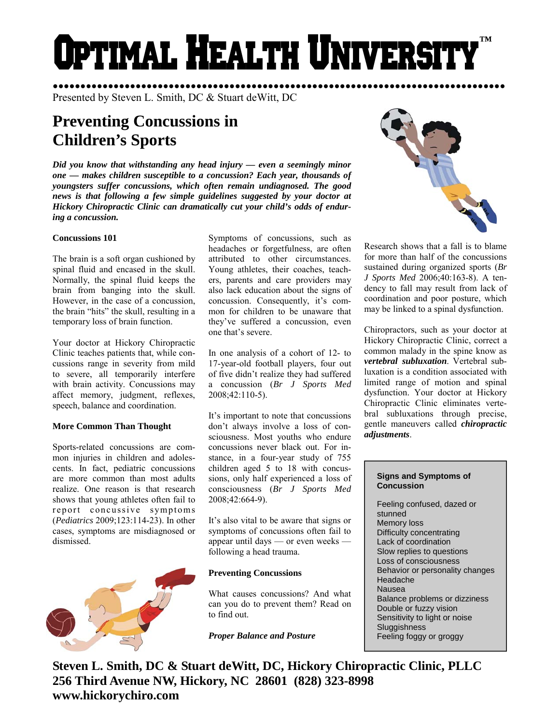# Optimal Health Universit **™**

●●●●●●●●●●●●●●●●●●●●●●●●●●●●●●●●●●●●●●●●●●●●●●●●●●●●●●●●●●●●●●●●●●●●●●●●●●●●●●●●●● Presented by Steven L. Smith, DC & Stuart deWitt, DC

# **Preventing Concussions in Children's Sports**

*Did you know that withstanding any head injury — even a seemingly minor one — makes children susceptible to a concussion? Each year, thousands of youngsters suffer concussions, which often remain undiagnosed. The good news is that following a few simple guidelines suggested by your doctor at Hickory Chiropractic Clinic can dramatically cut your child's odds of enduring a concussion.* 

# **Concussions 101**

The brain is a soft organ cushioned by spinal fluid and encased in the skull. Normally, the spinal fluid keeps the brain from banging into the skull. However, in the case of a concussion, the brain "hits" the skull, resulting in a temporary loss of brain function.

Your doctor at Hickory Chiropractic Clinic teaches patients that, while concussions range in severity from mild to severe, all temporarily interfere with brain activity. Concussions may affect memory, judgment, reflexes, speech, balance and coordination.

### **More Common Than Thought**

Sports-related concussions are common injuries in children and adolescents. In fact, pediatric concussions are more common than most adults realize. One reason is that research shows that young athletes often fail to report concussive symptoms (*Pediatrics* 2009;123:114-23). In other cases, symptoms are misdiagnosed or dismissed.



Symptoms of concussions, such as headaches or forgetfulness, are often attributed to other circumstances. Young athletes, their coaches, teachers, parents and care providers may also lack education about the signs of concussion. Consequently, it's common for children to be unaware that they've suffered a concussion, even one that's severe.

In one analysis of a cohort of 12- to 17-year-old football players, four out of five didn't realize they had suffered a concussion (*Br J Sports Med* 2008;42:110-5).

It's important to note that concussions don't always involve a loss of consciousness. Most youths who endure concussions never black out. For instance, in a four-year study of 755 children aged 5 to 18 with concussions, only half experienced a loss of consciousness (*Br J Sports Med* 2008;42:664-9).

It's also vital to be aware that signs or symptoms of concussions often fail to appear until days — or even weeks following a head trauma.

# **Preventing Concussions**

What causes concussions? And what can you do to prevent them? Read on to find out.

*Proper Balance and Posture* 



Research shows that a fall is to blame for more than half of the concussions sustained during organized sports (*Br J Sports Med* 2006;40:163-8). A tendency to fall may result from lack of coordination and poor posture, which may be linked to a spinal dysfunction.

Chiropractors, such as your doctor at Hickory Chiropractic Clinic, correct a common malady in the spine know as *vertebral subluxation*. Vertebral subluxation is a condition associated with limited range of motion and spinal dysfunction. Your doctor at Hickory Chiropractic Clinic eliminates vertebral subluxations through precise, gentle maneuvers called *chiropractic adjustments*.

#### **Signs and Symptoms of Concussion**

Feeling confused, dazed or stunned Memory loss Difficulty concentrating Lack of coordination Slow replies to questions Loss of consciousness Behavior or personality changes Headache Nausea Balance problems or dizziness Double or fuzzy vision Sensitivity to light or noise **Sluggishness** Feeling foggy or groggy

**Steven L. Smith, DC & Stuart deWitt, DC, Hickory Chiropractic Clinic, PLLC 256 Third Avenue NW, Hickory, NC 28601 (828) 323-8998 www.hickorychiro.com**